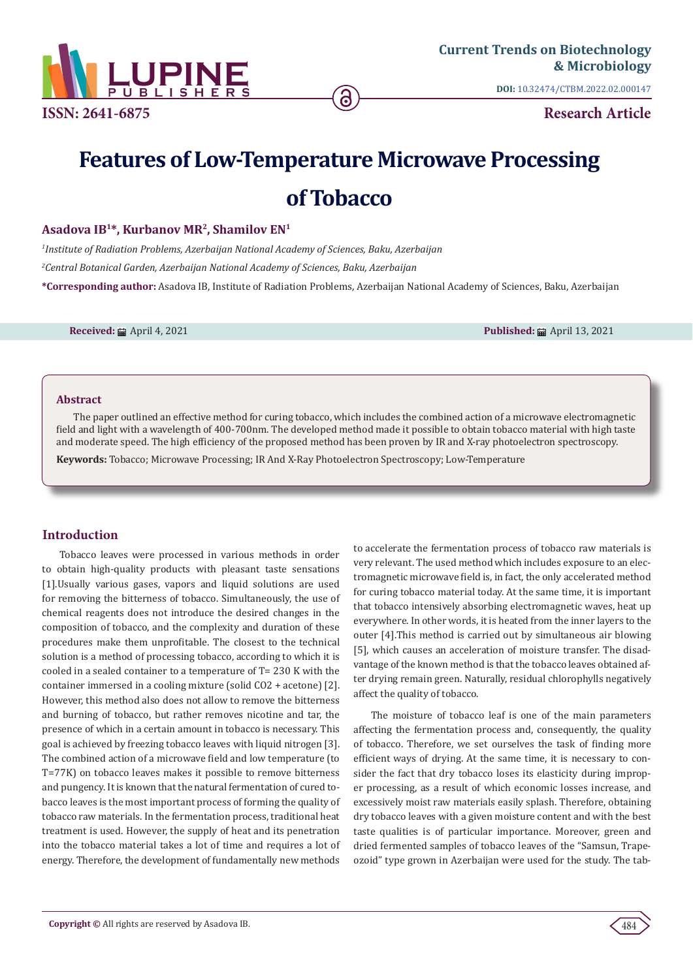

**DOI:** [10.32474/CTBM.2022.02.000147](http://dx.doi.org/10.32474/CTBM.2022.02.000147)

**Research Article**

# **Features of Low-Temperature Microwave Processing of Tobacco**

## **Asadova IB1\*, Kurbanov MR2, Shamilov EN1**

*1 Institute of Radiation Problems, Azerbaijan National Academy of Sciences, Baku, Azerbaijan 2 Central Botanical Garden, Azerbaijan National Academy of Sciences, Baku, Azerbaijan* **\*Corresponding author:** Asadova IB, Institute of Radiation Problems, Azerbaijan National Academy of Sciences, Baku, Azerbaijan

**Received:** April 4, 2021 **Published:** April 13, 2021

#### **Abstract**

The paper outlined an effective method for curing tobacco, which includes the combined action of a microwave electromagnetic field and light with a wavelength of 400-700nm. The developed method made it possible to obtain tobacco material with high taste and moderate speed. The high efficiency of the proposed method has been proven by IR and X-ray photoelectron spectroscopy.

**Keywords:** Tobacco; Microwave Processing; IR And X-Ray Photoelectron Spectroscopy; Low-Temperature

### **Introduction**

Tobacco leaves were processed in various methods in order to obtain high-quality products with pleasant taste sensations [1].Usually various gases, vapors and liquid solutions are used for removing the bitterness of tobacco. Simultaneously, the use of chemical reagents does not introduce the desired changes in the composition of tobacco, and the complexity and duration of these procedures make them unprofitable. The closest to the technical solution is a method of processing tobacco, according to which it is cooled in a sealed container to a temperature of T= 230 K with the container immersed in a cooling mixture (solid CO2 + acetone) [2]. However, this method also does not allow to remove the bitterness and burning of tobacco, but rather removes nicotine and tar, the presence of which in a certain amount in tobacco is necessary. This goal is achieved by freezing tobacco leaves with liquid nitrogen [3]. The combined action of a microwave field and low temperature (to T=77K) on tobacco leaves makes it possible to remove bitterness and pungency. It is known that the natural fermentation of cured tobacco leaves is the most important process of forming the quality of tobacco raw materials. In the fermentation process, traditional heat treatment is used. However, the supply of heat and its penetration into the tobacco material takes a lot of time and requires a lot of energy. Therefore, the development of fundamentally new methods

to accelerate the fermentation process of tobacco raw materials is very relevant. The used method which includes exposure to an electromagnetic microwave field is, in fact, the only accelerated method for curing tobacco material today. At the same time, it is important that tobacco intensively absorbing electromagnetic waves, heat up everywhere. In other words, it is heated from the inner layers to the outer [4].This method is carried out by simultaneous air blowing [5], which causes an acceleration of moisture transfer. The disadvantage of the known method is that the tobacco leaves obtained after drying remain green. Naturally, residual chlorophylls negatively affect the quality of tobacco.

The moisture of tobacco leaf is one of the main parameters affecting the fermentation process and, consequently, the quality of tobacco. Therefore, we set ourselves the task of finding more efficient ways of drying. At the same time, it is necessary to consider the fact that dry tobacco loses its elasticity during improper processing, as a result of which economic losses increase, and excessively moist raw materials easily splash. Therefore, obtaining dry tobacco leaves with a given moisture content and with the best taste qualities is of particular importance. Moreover, green and dried fermented samples of tobacco leaves of the "Samsun, Trapeozoid" type grown in Azerbaijan were used for the study. The tab-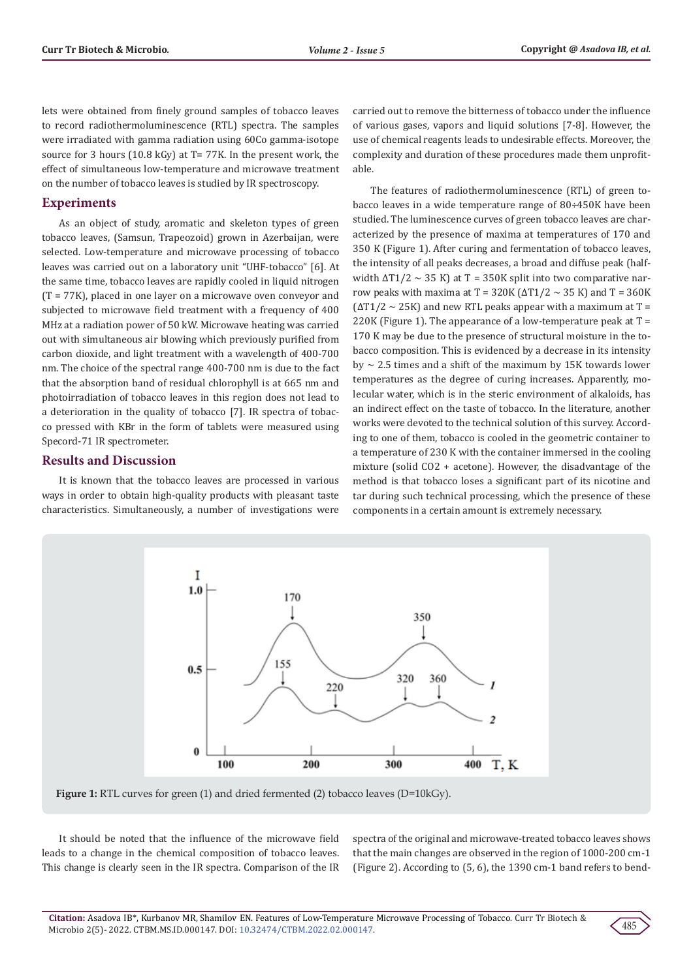lets were obtained from finely ground samples of tobacco leaves to record radiothermoluminescence (RTL) spectra. The samples were irradiated with gamma radiation using 60Co gamma-isotope source for 3 hours (10.8 kGy) at T= 77K. In the present work, the effect of simultaneous low-temperature and microwave treatment on the number of tobacco leaves is studied by IR spectroscopy.

#### **Experiments**

As an object of study, aromatic and skeleton types of green tobacco leaves, (Samsun, Trapeozoid) grown in Azerbaijan, were selected. Low-temperature and microwave processing of tobacco leaves was carried out on a laboratory unit "UHF-tobacco" [6]. At the same time, tobacco leaves are rapidly cooled in liquid nitrogen (T = 77K), placed in one layer on a microwave oven conveyor and subjected to microwave field treatment with a frequency of 400 MHz at a radiation power of 50 kW. Microwave heating was carried out with simultaneous air blowing which previously purified from carbon dioxide, and light treatment with a wavelength of 400-700 nm. The choice of the spectral range 400-700 nm is due to the fact that the absorption band of residual chlorophyll is at 665 nm and photoirradiation of tobacco leaves in this region does not lead to a deterioration in the quality of tobacco [7]. IR spectra of tobacco pressed with KBr in the form of tablets were measured using Specord-71 IR spectrometer.

### **Results and Discussion**

It is known that the tobacco leaves are processed in various ways in order to obtain high-quality products with pleasant taste characteristics. Simultaneously, a number of investigations were

carried out to remove the bitterness of tobacco under the influence of various gases, vapors and liquid solutions [7-8]. However, the use of chemical reagents leads to undesirable effects. Moreover, the complexity and duration of these procedures made them unprofitable.

The features of radiothermoluminescence (RTL) of green tobacco leaves in a wide temperature range of 80÷450K have been studied. The luminescence curves of green tobacco leaves are characterized by the presence of maxima at temperatures of 170 and 350 K (Figure 1). After curing and fermentation of tobacco leaves, the intensity of all peaks decreases, a broad and diffuse peak (halfwidth  $\Delta T1/2 \sim 35$  K) at T = 350K split into two comparative narrow peaks with maxima at T = 320K ( $\Delta$ T1/2  $\sim$  35 K) and T = 360K  $(\Delta T1/2 \sim 25K)$  and new RTL peaks appear with a maximum at T = 220K (Figure 1). The appearance of a low-temperature peak at  $T =$ 170 K may be due to the presence of structural moisture in the tobacco composition. This is evidenced by a decrease in its intensity by  $\sim$  2.5 times and a shift of the maximum by 15K towards lower temperatures as the degree of curing increases. Apparently, molecular water, which is in the steric environment of alkaloids, has an indirect effect on the taste of tobacco. In the literature, another works were devoted to the technical solution of this survey. According to one of them, tobacco is cooled in the geometric container to a temperature of 230 K with the container immersed in the cooling mixture (solid CO2 + acetone). However, the disadvantage of the method is that tobacco loses a significant part of its nicotine and tar during such technical processing, which the presence of these components in a certain amount is extremely necessary.



Figure 1: RTL curves for green (1) and dried fermented (2) tobacco leaves (D=10kGy).

It should be noted that the influence of the microwave field leads to a change in the chemical composition of tobacco leaves. This change is clearly seen in the IR spectra. Comparison of the IR spectra of the original and microwave-treated tobacco leaves shows that the main changes are observed in the region of 1000-200 cm-1 (Figure 2). According to (5, 6), the 1390 cm-1 band refers to bend-

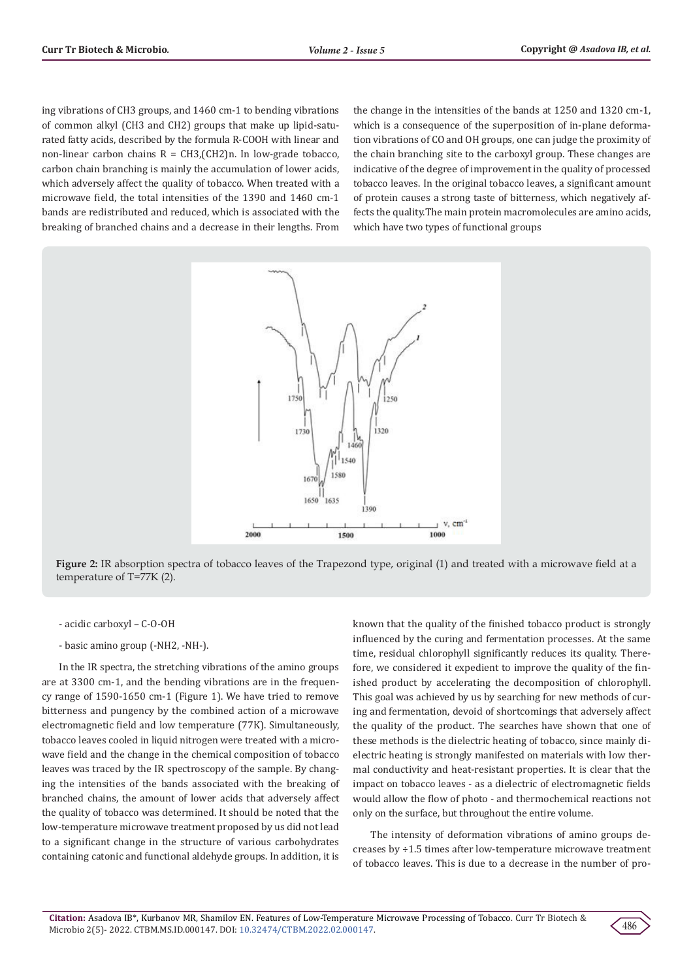ing vibrations of CH3 groups, and 1460 cm-1 to bending vibrations of common alkyl (CH3 and CH2) groups that make up lipid-saturated fatty acids, described by the formula R-COOH with linear and non-linear carbon chains  $R = CH3$ , (CH2)n. In low-grade tobacco, carbon chain branching is mainly the accumulation of lower acids, which adversely affect the quality of tobacco. When treated with a microwave field, the total intensities of the 1390 and 1460 cm-1 bands are redistributed and reduced, which is associated with the breaking of branched chains and a decrease in their lengths. From

the change in the intensities of the bands at 1250 and 1320 cm-1, which is a consequence of the superposition of in-plane deformation vibrations of CO and OH groups, one can judge the proximity of the chain branching site to the carboxyl group. These changes are indicative of the degree of improvement in the quality of processed tobacco leaves. In the original tobacco leaves, a significant amount of protein causes a strong taste of bitterness, which negatively affects the quality.The main protein macromolecules are amino acids, which have two types of functional groups



**Figure 2:** IR absorption spectra of tobacco leaves of the Trapezond type, original (1) and treated with a microwave field at a temperature of T=77K (2).

- acidic carboxyl – С-О-ОН

- basic amino group (-NH2, -NH-).

In the IR spectra, the stretching vibrations of the amino groups are at 3300 cm-1, and the bending vibrations are in the frequency range of 1590-1650 cm-1 (Figure 1). We have tried to remove bitterness and pungency by the combined action of a microwave electromagnetic field and low temperature (77K). Simultaneously, tobacco leaves cooled in liquid nitrogen were treated with a microwave field and the change in the chemical composition of tobacco leaves was traced by the IR spectroscopy of the sample. By changing the intensities of the bands associated with the breaking of branched chains, the amount of lower acids that adversely affect the quality of tobacco was determined. It should be noted that the low-temperature microwave treatment proposed by us did not lead to a significant change in the structure of various carbohydrates containing catonic and functional aldehyde groups. In addition, it is

known that the quality of the finished tobacco product is strongly influenced by the curing and fermentation processes. At the same time, residual chlorophyll significantly reduces its quality. Therefore, we considered it expedient to improve the quality of the finished product by accelerating the decomposition of chlorophyll. This goal was achieved by us by searching for new methods of curing and fermentation, devoid of shortcomings that adversely affect the quality of the product. The searches have shown that one of these methods is the dielectric heating of tobacco, since mainly dielectric heating is strongly manifested on materials with low thermal conductivity and heat-resistant properties. It is clear that the impact on tobacco leaves - as a dielectric of electromagnetic fields would allow the flow of photo - and thermochemical reactions not only on the surface, but throughout the entire volume.

The intensity of deformation vibrations of amino groups decreases by ÷1.5 times after low-temperature microwave treatment of tobacco leaves. This is due to a decrease in the number of pro-

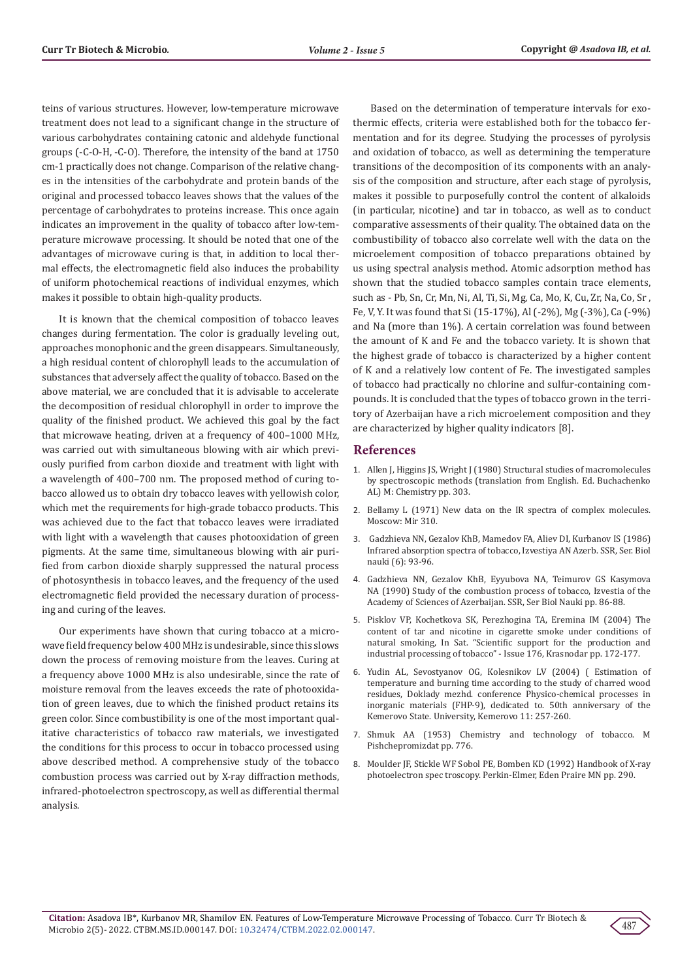teins of various structures. However, low-temperature microwave treatment does not lead to a significant change in the structure of various carbohydrates containing catonic and aldehyde functional groups (-C-O-H, -C-O). Therefore, the intensity of the band at 1750 cm-1 practically does not change. Comparison of the relative changes in the intensities of the carbohydrate and protein bands of the original and processed tobacco leaves shows that the values of the percentage of carbohydrates to proteins increase. This once again indicates an improvement in the quality of tobacco after low-temperature microwave processing. It should be noted that one of the advantages of microwave curing is that, in addition to local thermal effects, the electromagnetic field also induces the probability of uniform photochemical reactions of individual enzymes, which makes it possible to obtain high-quality products.

It is known that the chemical composition of tobacco leaves changes during fermentation. The color is gradually leveling out, approaches monophonic and the green disappears. Simultaneously, a high residual content of chlorophyll leads to the accumulation of substances that adversely affect the quality of tobacco. Based on the above material, we are concluded that it is advisable to accelerate the decomposition of residual chlorophyll in order to improve the quality of the finished product. We achieved this goal by the fact that microwave heating, driven at a frequency of 400–1000 MHz, was carried out with simultaneous blowing with air which previously purified from carbon dioxide and treatment with light with a wavelength of 400–700 nm. The proposed method of curing tobacco allowed us to obtain dry tobacco leaves with yellowish color, which met the requirements for high-grade tobacco products. This was achieved due to the fact that tobacco leaves were irradiated with light with a wavelength that causes photooxidation of green pigments. At the same time, simultaneous blowing with air purified from carbon dioxide sharply suppressed the natural process of photosynthesis in tobacco leaves, and the frequency of the used electromagnetic field provided the necessary duration of processing and curing of the leaves.

Our experiments have shown that curing tobacco at a microwave field frequency below 400 MHz is undesirable, since this slows down the process of removing moisture from the leaves. Curing at a frequency above 1000 MHz is also undesirable, since the rate of moisture removal from the leaves exceeds the rate of photooxidation of green leaves, due to which the finished product retains its green color. Since combustibility is one of the most important qualitative characteristics of tobacco raw materials, we investigated the conditions for this process to occur in tobacco processed using above described method. A comprehensive study of the tobacco combustion process was carried out by X-ray diffraction methods, infrared-photoelectron spectroscopy, as well as differential thermal analysis.

Based on the determination of temperature intervals for exothermic effects, criteria were established both for the tobacco fermentation and for its degree. Studying the processes of pyrolysis and oxidation of tobacco, as well as determining the temperature transitions of the decomposition of its components with an analysis of the composition and structure, after each stage of pyrolysis, makes it possible to purposefully control the content of alkaloids (in particular, nicotine) and tar in tobacco, as well as to conduct comparative assessments of their quality. The obtained data on the combustibility of tobacco also correlate well with the data on the microelement composition of tobacco preparations obtained by us using spectral analysis method. Atomic adsorption method has shown that the studied tobacco samples contain trace elements, such as - Pb, Sn, Cr, Mn, Ni, Al, Ti, Si, Mg, Ca, Mo, K, Cu, Zr, Na, Co, Sr , Fe, V, Y. It was found that Si (15-17%), Al (-2%), Mg (-3%), Ca (-9%) and Na (more than 1%). A certain correlation was found between the amount of K and Fe and the tobacco variety. It is shown that the highest grade of tobacco is characterized by a higher content of K and a relatively low content of Fe. The investigated samples of tobacco had practically no chlorine and sulfur-containing compounds. It is concluded that the types of tobacco grown in the territory of Azerbaijan have a rich microelement composition and they are characterized by higher quality indicators [8].

#### **References**

- 1. Allen J, Higgins JS, Wright J (1980) Structural studies of macromolecules by spectroscopic methods (translation from English. Ed. Buchachenko AL) M: Chemistry pp. 303.
- 2. Bellamy L (1971) New data on the IR spectra of complex molecules. Moscow: Mir 310.
- 3. Gadzhieva NN, Gezalov KhB, Mamedov FA, Aliev DI, Kurbanov IS (1986) Infrared absorption spectra of tobacco, Izvestiya AN Azerb. SSR, Ser. Biol nauki (6): 93-96.
- 4. Gadzhieva NN, Gezalov KhB, Eyyubova NA, Teimurov GS Kasymova NA (1990) Study of the combustion process of tobacco, Izvestia of the Academy of Sciences of Azerbaijan. SSR, Ser Biol Nauki pp. 86-88.
- 5. Pisklov VP, Kochetkova SK, Perezhogina TA, Eremina IM (2004) The content of tar and nicotine in cigarette smoke under conditions of natural smoking, In Sat. "Scientific support for the production and industrial processing of tobacco" - Issue 176, Krasnodar pp. 172-177.
- 6. Yudin AL, Sevostyanov OG, Kolesnikov LV (2004) ( Estimation of temperature and burning time according to the study of charred wood residues, Doklady mezhd. conference Physico-chemical processes in inorganic materials (FHP-9), dedicated to. 50th anniversary of the Kemerovo State. University, Kemerovo 11: 257-260.
- 7. Shmuk AA (1953) Chemistry and technology of tobacco. M Pishchepromizdat pp. 776.
- 8. Moulder JF, Stickle WF Sobol PE, Bomben KD (1992) Handbook of X-ray photoelectron spec troscopy. Perkin-Elmer, Eden Praire MN pp. 290.